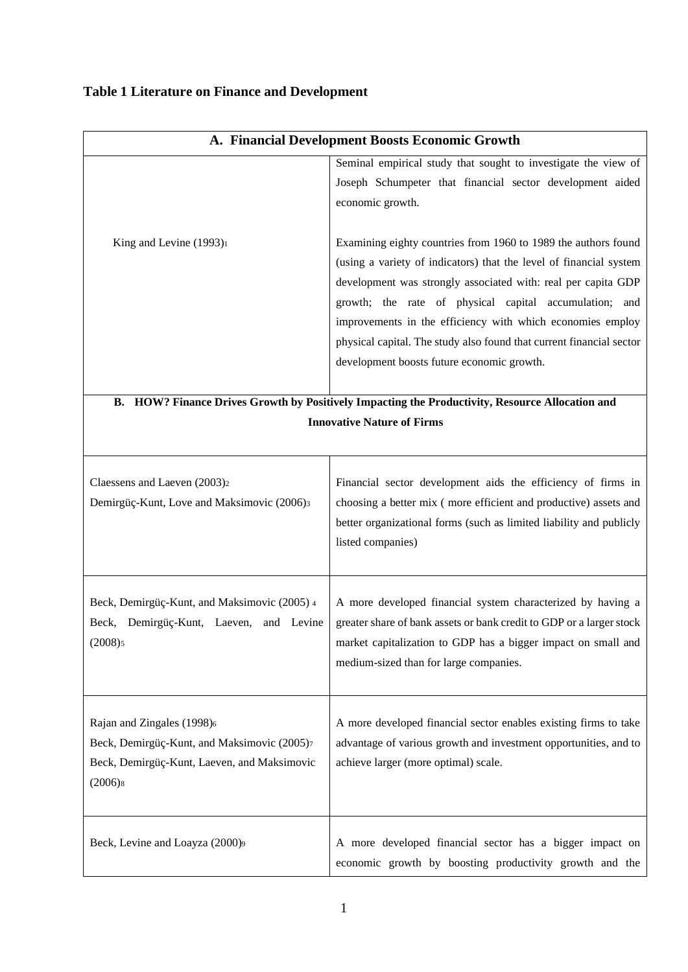## **Table 1 Literature on Finance and Development**

| A. Financial Development Boosts Economic Growth                                                                                                 |                                                                                                                                                                                                                                                                                                                                                                                                                                                     |  |  |  |
|-------------------------------------------------------------------------------------------------------------------------------------------------|-----------------------------------------------------------------------------------------------------------------------------------------------------------------------------------------------------------------------------------------------------------------------------------------------------------------------------------------------------------------------------------------------------------------------------------------------------|--|--|--|
|                                                                                                                                                 | Seminal empirical study that sought to investigate the view of<br>Joseph Schumpeter that financial sector development aided<br>economic growth.                                                                                                                                                                                                                                                                                                     |  |  |  |
| King and Levine (1993) <sup>1</sup>                                                                                                             | Examining eighty countries from 1960 to 1989 the authors found<br>(using a variety of indicators) that the level of financial system<br>development was strongly associated with: real per capita GDP<br>growth; the rate of physical capital accumulation; and<br>improvements in the efficiency with which economies employ<br>physical capital. The study also found that current financial sector<br>development boosts future economic growth. |  |  |  |
| B. HOW? Finance Drives Growth by Positively Impacting the Productivity, Resource Allocation and                                                 |                                                                                                                                                                                                                                                                                                                                                                                                                                                     |  |  |  |
| <b>Innovative Nature of Firms</b>                                                                                                               |                                                                                                                                                                                                                                                                                                                                                                                                                                                     |  |  |  |
| Claessens and Laeven (2003) <sub>2</sub><br>Demirgüç-Kunt, Love and Maksimovic (2006)3                                                          | Financial sector development aids the efficiency of firms in<br>choosing a better mix (more efficient and productive) assets and<br>better organizational forms (such as limited liability and publicly<br>listed companies)                                                                                                                                                                                                                        |  |  |  |
| Beck, Demirgüç-Kunt, and Maksimovic (2005) 4<br>Beck, Demirgüç-Kunt, Laeven,<br>and Levine<br>(2008)5                                           | A more developed financial system characterized by having a<br>greater share of bank assets or bank credit to GDP or a larger stock<br>market capitalization to GDP has a bigger impact on small and<br>medium-sized than for large companies.                                                                                                                                                                                                      |  |  |  |
| Rajan and Zingales (1998)6<br>Beck, Demirgüç-Kunt, and Maksimovic (2005)7<br>Beck, Demirgüç-Kunt, Laeven, and Maksimovic<br>(2006) <sub>8</sub> | A more developed financial sector enables existing firms to take<br>advantage of various growth and investment opportunities, and to<br>achieve larger (more optimal) scale.                                                                                                                                                                                                                                                                        |  |  |  |
| Beck, Levine and Loayza (2000)9                                                                                                                 | A more developed financial sector has a bigger impact on<br>economic growth by boosting productivity growth and the                                                                                                                                                                                                                                                                                                                                 |  |  |  |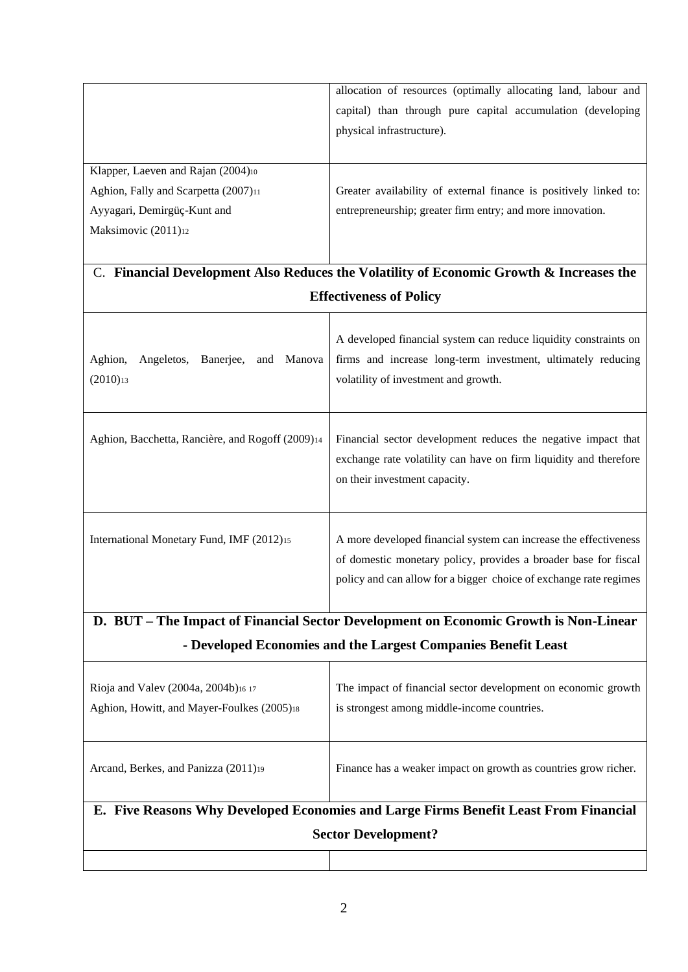|                                                                                      | allocation of resources (optimally allocating land, labour and<br>capital) than through pure capital accumulation (developing                                                                            |  |  |  |  |  |
|--------------------------------------------------------------------------------------|----------------------------------------------------------------------------------------------------------------------------------------------------------------------------------------------------------|--|--|--|--|--|
|                                                                                      | physical infrastructure).                                                                                                                                                                                |  |  |  |  |  |
| Klapper, Laeven and Rajan (2004)10                                                   |                                                                                                                                                                                                          |  |  |  |  |  |
| Aghion, Fally and Scarpetta (2007)11                                                 | Greater availability of external finance is positively linked to:                                                                                                                                        |  |  |  |  |  |
| Ayyagari, Demirgüç-Kunt and                                                          | entrepreneurship; greater firm entry; and more innovation.                                                                                                                                               |  |  |  |  |  |
| Maksimovic (2011)12                                                                  |                                                                                                                                                                                                          |  |  |  |  |  |
|                                                                                      |                                                                                                                                                                                                          |  |  |  |  |  |
|                                                                                      | C. Financial Development Also Reduces the Volatility of Economic Growth & Increases the                                                                                                                  |  |  |  |  |  |
|                                                                                      | <b>Effectiveness of Policy</b>                                                                                                                                                                           |  |  |  |  |  |
| Aghion,<br>Angeletos,<br>Manova<br>Banerjee,<br>and<br>$(2010)_{13}$                 | A developed financial system can reduce liquidity constraints on<br>firms and increase long-term investment, ultimately reducing<br>volatility of investment and growth.                                 |  |  |  |  |  |
| Aghion, Bacchetta, Rancière, and Rogoff (2009)14                                     | Financial sector development reduces the negative impact that<br>exchange rate volatility can have on firm liquidity and therefore<br>on their investment capacity.                                      |  |  |  |  |  |
| International Monetary Fund, IMF (2012)15                                            | A more developed financial system can increase the effectiveness<br>of domestic monetary policy, provides a broader base for fiscal<br>policy and can allow for a bigger choice of exchange rate regimes |  |  |  |  |  |
| D. BUT - The Impact of Financial Sector Development on Economic Growth is Non-Linear |                                                                                                                                                                                                          |  |  |  |  |  |
| - Developed Economies and the Largest Companies Benefit Least                        |                                                                                                                                                                                                          |  |  |  |  |  |
|                                                                                      |                                                                                                                                                                                                          |  |  |  |  |  |

| Rioja and Valev (2004a, 2004b)16 17<br>Aghion, Howitt, and Mayer-Foulkes (2005)18                                  | The impact of financial sector development on economic growth<br>is strongest among middle-income countries. |  |  |
|--------------------------------------------------------------------------------------------------------------------|--------------------------------------------------------------------------------------------------------------|--|--|
| Arcand, Berkes, and Panizza (2011) <sup>19</sup>                                                                   | Finance has a weaker impact on growth as countries grow richer.                                              |  |  |
| E. Five Reasons Why Developed Economies and Large Firms Benefit Least From Financial<br><b>Sector Development?</b> |                                                                                                              |  |  |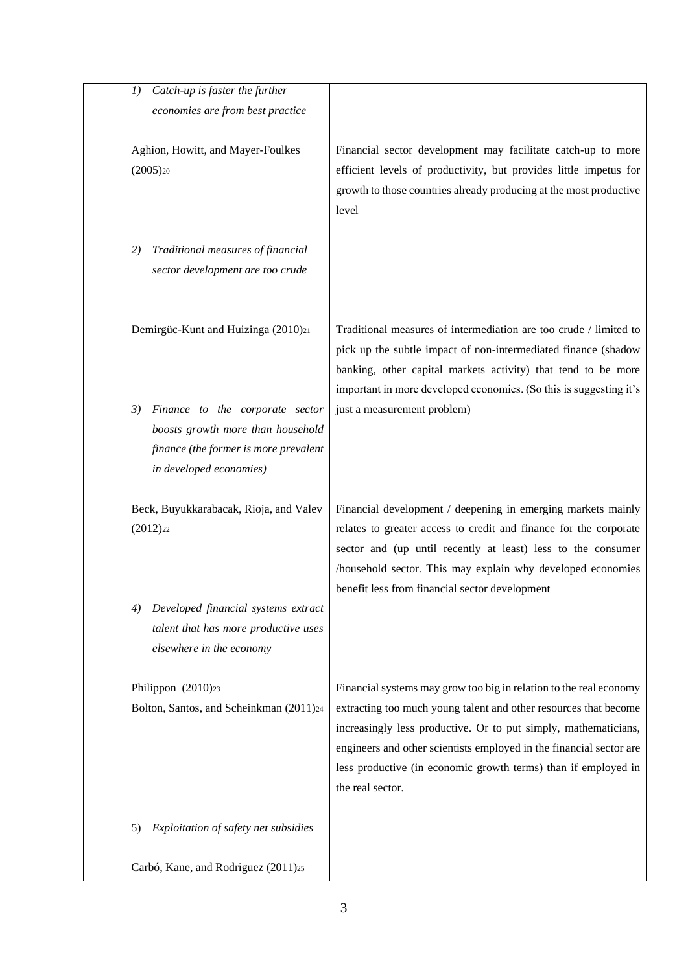| Catch-up is faster the further<br>I)                                                                                                           |                                                                                                                                                                                                                                                                                                                                                                        |
|------------------------------------------------------------------------------------------------------------------------------------------------|------------------------------------------------------------------------------------------------------------------------------------------------------------------------------------------------------------------------------------------------------------------------------------------------------------------------------------------------------------------------|
| economies are from best practice                                                                                                               |                                                                                                                                                                                                                                                                                                                                                                        |
| Aghion, Howitt, and Mayer-Foulkes<br>$(2005)_{20}$                                                                                             | Financial sector development may facilitate catch-up to more<br>efficient levels of productivity, but provides little impetus for<br>growth to those countries already producing at the most productive<br>level                                                                                                                                                       |
| Traditional measures of financial<br>2)<br>sector development are too crude                                                                    |                                                                                                                                                                                                                                                                                                                                                                        |
| Demirgüc-Kunt and Huizinga (2010)21                                                                                                            | Traditional measures of intermediation are too crude / limited to<br>pick up the subtle impact of non-intermediated finance (shadow<br>banking, other capital markets activity) that tend to be more<br>important in more developed economies. (So this is suggesting it's                                                                                             |
| 3)<br>Finance to the corporate sector<br>boosts growth more than household<br>finance (the former is more prevalent<br>in developed economies) | just a measurement problem)                                                                                                                                                                                                                                                                                                                                            |
| Beck, Buyukkarabacak, Rioja, and Valev<br>$(2012)_{22}$                                                                                        | Financial development / deepening in emerging markets mainly<br>relates to greater access to credit and finance for the corporate<br>sector and (up until recently at least) less to the consumer<br>/household sector. This may explain why developed economies<br>benefit less from financial sector development                                                     |
| Developed financial systems extract<br>4)<br>talent that has more productive uses<br>elsewhere in the economy                                  |                                                                                                                                                                                                                                                                                                                                                                        |
| Philippon (2010) <sub>23</sub><br>Bolton, Santos, and Scheinkman (2011) <sup>24</sup>                                                          | Financial systems may grow too big in relation to the real economy<br>extracting too much young talent and other resources that become<br>increasingly less productive. Or to put simply, mathematicians,<br>engineers and other scientists employed in the financial sector are<br>less productive (in economic growth terms) than if employed in<br>the real sector. |
| Exploitation of safety net subsidies<br>5)                                                                                                     |                                                                                                                                                                                                                                                                                                                                                                        |
| Carbó, Kane, and Rodriguez (2011)25                                                                                                            |                                                                                                                                                                                                                                                                                                                                                                        |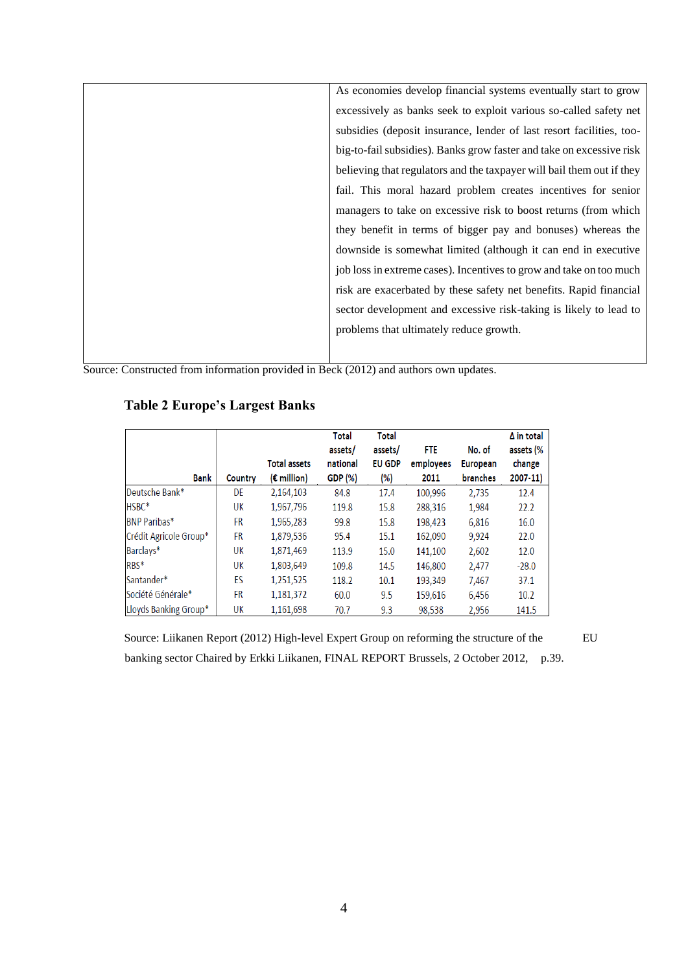| As economies develop financial systems eventually start to grow       |
|-----------------------------------------------------------------------|
| excessively as banks seek to exploit various so-called safety net     |
| subsidies (deposit insurance, lender of last resort facilities, too-  |
| big-to-fail subsidies). Banks grow faster and take on excessive risk  |
| believing that regulators and the taxpayer will bail them out if they |
| fail. This moral hazard problem creates incentives for senior         |
| managers to take on excessive risk to boost returns (from which       |
| they benefit in terms of bigger pay and bonuses) whereas the          |
| downside is somewhat limited (although it can end in executive        |
| job loss in extreme cases). Incentives to grow and take on too much   |
| risk are exacerbated by these safety net benefits. Rapid financial    |
| sector development and excessive risk-taking is likely to lead to     |
| problems that ultimately reduce growth.                               |
|                                                                       |

Source: Constructed from information provided in Beck (2012) and authors own updates.

|                        |           |                      | Total    | <b>Total</b>  |           |                 | $\Delta$ in total |
|------------------------|-----------|----------------------|----------|---------------|-----------|-----------------|-------------------|
|                        |           |                      | assets/  | assets/       | FTE       | No. of          | assets (%         |
|                        |           | <b>Total assets</b>  | national | <b>EU GDP</b> | employees | <b>European</b> | change            |
| Bank                   | Country   | $(\epsilon$ million) | GDP (%)  | (%)           | 2011      | <b>branches</b> | 2007-11)          |
| Deutsche Bank*         | DE        | 2,164,103            | 84.8     | 17.4          | 100,996   | 2.735           | 12.4              |
| HSBC*                  | UK        | 1,967,796            | 119.8    | 15.8          | 288,316   | 1,984           | 22.2              |
| <b>BNP Paribas*</b>    | <b>FR</b> | 1,965,283            | 99.8     | 15.8          | 198,423   | 6,816           | 16.0              |
| Crédit Agricole Group* | FR        | 1,879,536            | 95.4     | 15.1          | 162,090   | 9,924           | 22.0              |
| Barclays*              | UK        | 1,871,469            | 113.9    | 15.0          | 141,100   | 2,602           | 12.0              |
| RBS*                   | UK        | 1,803,649            | 109.8    | 14.5          | 146,800   | 2,477           | $-28.0$           |
| Santander*             | ES        | 1,251,525            | 118.2    | 10.1          | 193,349   | 7.467           | 37.1              |
| Société Générale*      | <b>FR</b> | 1,181,372            | 60.0     | 9.5           | 159,616   | 6,456           | 10.2              |
| Lloyds Banking Group*  | UK        | 1,161,698            | 70.7     | 9.3           | 98,538    | 2,956           | 141.5             |

## **Table 2 Europe's Largest Banks**

Source: Liikanen Report (2012) High-level Expert Group on reforming the structure of the EU banking sector Chaired by Erkki Liikanen, FINAL REPORT Brussels, 2 October 2012, p.39.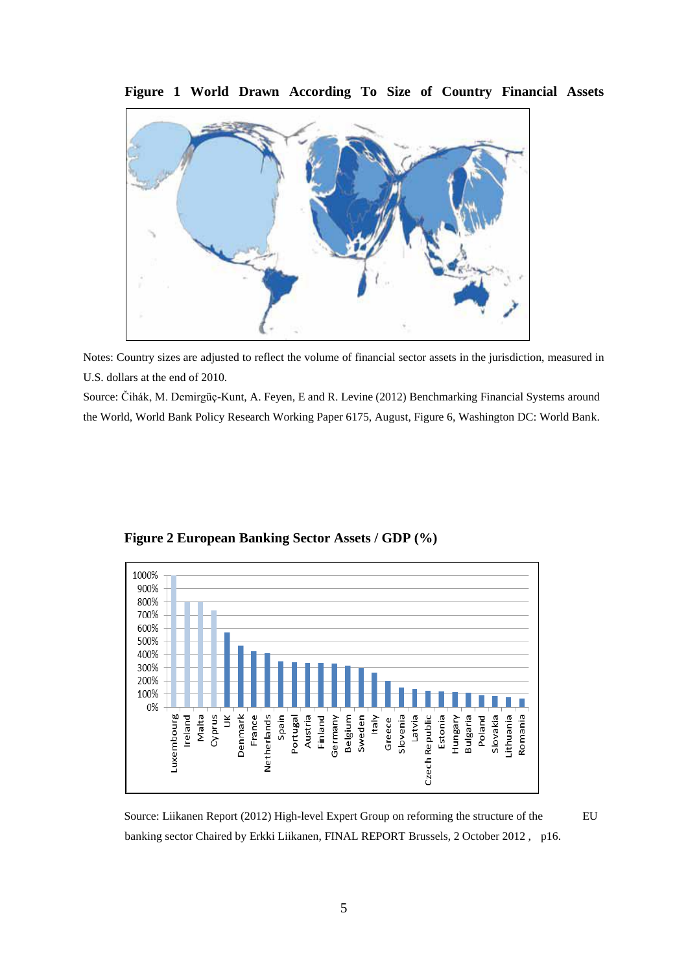

**Figure 1 World Drawn According To Size of Country Financial Assets** 

Notes: Country sizes are adjusted to reflect the volume of financial sector assets in the jurisdiction, measured in U.S. dollars at the end of 2010.

Source: Čihák, M. Demirgüç-Kunt, A. Feyen, E and R. Levine (2012) Benchmarking Financial Systems around the World, World Bank Policy Research Working Paper 6175, August, Figure 6, Washington DC: World Bank.



**Figure 2 European Banking Sector Assets / GDP (%)**

Source: Liikanen Report (2012) High-level Expert Group on reforming the structure of the EU banking sector Chaired by Erkki Liikanen, FINAL REPORT Brussels, 2 October 2012 , p16.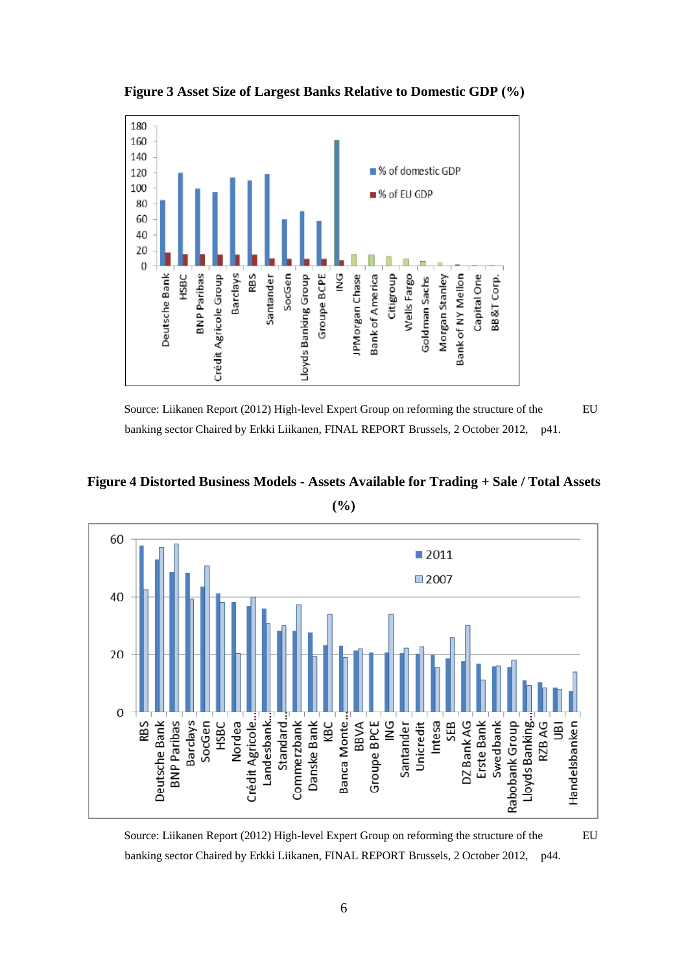

**Figure 3 Asset Size of Largest Banks Relative to Domestic GDP (%)** 

Source: Liikanen Report (2012) High-level Expert Group on reforming the structure of the EU banking sector Chaired by Erkki Liikanen, FINAL REPORT Brussels, 2 October 2012, p41.



**(%)**



Source: Liikanen Report (2012) High-level Expert Group on reforming the structure of the EU banking sector Chaired by Erkki Liikanen, FINAL REPORT Brussels, 2 October 2012, p44.